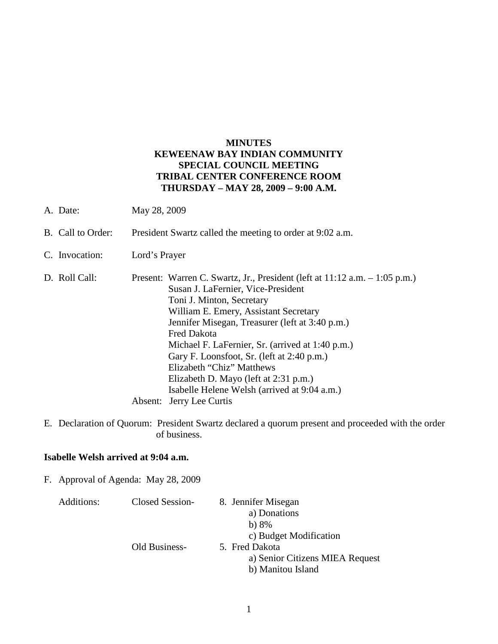### **MINUTES KEWEENAW BAY INDIAN COMMUNITY SPECIAL COUNCIL MEETING TRIBAL CENTER CONFERENCE ROOM THURSDAY – MAY 28, 2009 – 9:00 A.M.**

- A. Date: May 28, 2009
- B. Call to Order: President Swartz called the meeting to order at 9:02 a.m.
- C. Invocation: Lord's Prayer
- D. Roll Call: Present: Warren C. Swartz, Jr., President (left at 11:12 a.m. 1:05 p.m.) Susan J. LaFernier, Vice-President Toni J. Minton, Secretary William E. Emery, Assistant Secretary Jennifer Misegan, Treasurer (left at 3:40 p.m.) Fred Dakota Michael F. LaFernier, Sr. (arrived at 1:40 p.m.) Gary F. Loonsfoot, Sr. (left at 2:40 p.m.) Elizabeth "Chiz" Matthews Elizabeth D. Mayo (left at 2:31 p.m.) Isabelle Helene Welsh (arrived at 9:04 a.m.) Absent: Jerry Lee Curtis
- E. Declaration of Quorum: President Swartz declared a quorum present and proceeded with the order of business.

#### **Isabelle Welsh arrived at 9:04 a.m.**

F. Approval of Agenda: May 28, 2009

| Closed Session- | 8. Jennifer Misegan<br>a) Donations |
|-----------------|-------------------------------------|
|                 | b) $8\%$                            |
|                 | c) Budget Modification              |
| Old Business-   | 5. Fred Dakota                      |
|                 | a) Senior Citizens MIEA Request     |
|                 | b) Manitou Island                   |
|                 |                                     |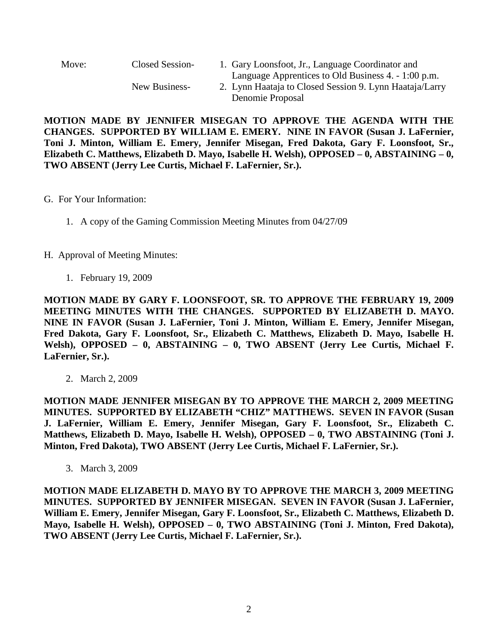| Move:<br>Closed Session-<br>New Business- |                                                                                                                | 1. Gary Loonsfoot, Jr., Language Coordinator and |
|-------------------------------------------|----------------------------------------------------------------------------------------------------------------|--------------------------------------------------|
|                                           | Language Apprentices to Old Business 4. - 1:00 p.m.<br>2. Lynn Haataja to Closed Session 9. Lynn Haataja/Larry |                                                  |
|                                           | Denomie Proposal                                                                                               |                                                  |

**MOTION MADE BY JENNIFER MISEGAN TO APPROVE THE AGENDA WITH THE CHANGES. SUPPORTED BY WILLIAM E. EMERY. NINE IN FAVOR (Susan J. LaFernier, Toni J. Minton, William E. Emery, Jennifer Misegan, Fred Dakota, Gary F. Loonsfoot, Sr., Elizabeth C. Matthews, Elizabeth D. Mayo, Isabelle H. Welsh), OPPOSED – 0, ABSTAINING – 0, TWO ABSENT (Jerry Lee Curtis, Michael F. LaFernier, Sr.).**

- G. For Your Information:
	- 1. A copy of the Gaming Commission Meeting Minutes from 04/27/09
- H. Approval of Meeting Minutes:
	- 1. February 19, 2009

**MOTION MADE BY GARY F. LOONSFOOT, SR. TO APPROVE THE FEBRUARY 19, 2009 MEETING MINUTES WITH THE CHANGES. SUPPORTED BY ELIZABETH D. MAYO. NINE IN FAVOR (Susan J. LaFernier, Toni J. Minton, William E. Emery, Jennifer Misegan, Fred Dakota, Gary F. Loonsfoot, Sr., Elizabeth C. Matthews, Elizabeth D. Mayo, Isabelle H. Welsh), OPPOSED – 0, ABSTAINING – 0, TWO ABSENT (Jerry Lee Curtis, Michael F. LaFernier, Sr.).**

2. March 2, 2009

**MOTION MADE JENNIFER MISEGAN BY TO APPROVE THE MARCH 2, 2009 MEETING MINUTES. SUPPORTED BY ELIZABETH "CHIZ" MATTHEWS. SEVEN IN FAVOR (Susan J. LaFernier, William E. Emery, Jennifer Misegan, Gary F. Loonsfoot, Sr., Elizabeth C. Matthews, Elizabeth D. Mayo, Isabelle H. Welsh), OPPOSED – 0, TWO ABSTAINING (Toni J. Minton, Fred Dakota), TWO ABSENT (Jerry Lee Curtis, Michael F. LaFernier, Sr.).** 

3. March 3, 2009

**MOTION MADE ELIZABETH D. MAYO BY TO APPROVE THE MARCH 3, 2009 MEETING MINUTES. SUPPORTED BY JENNIFER MISEGAN. SEVEN IN FAVOR (Susan J. LaFernier, William E. Emery, Jennifer Misegan, Gary F. Loonsfoot, Sr., Elizabeth C. Matthews, Elizabeth D. Mayo, Isabelle H. Welsh), OPPOSED – 0, TWO ABSTAINING (Toni J. Minton, Fred Dakota), TWO ABSENT (Jerry Lee Curtis, Michael F. LaFernier, Sr.).**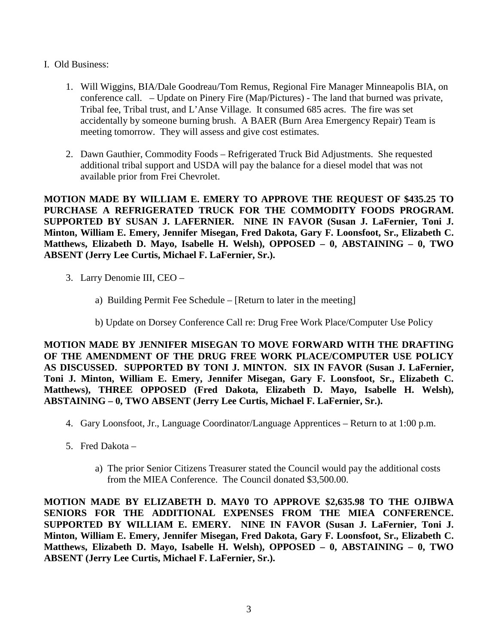- I. Old Business:
	- 1. Will Wiggins, BIA/Dale Goodreau/Tom Remus, Regional Fire Manager Minneapolis BIA, on conference call. – Update on Pinery Fire (Map/Pictures) - The land that burned was private, Tribal fee, Tribal trust, and L'Anse Village. It consumed 685 acres. The fire was set accidentally by someone burning brush. A BAER (Burn Area Emergency Repair) Team is meeting tomorrow. They will assess and give cost estimates.
	- 2. Dawn Gauthier, Commodity Foods Refrigerated Truck Bid Adjustments. She requested additional tribal support and USDA will pay the balance for a diesel model that was not available prior from Frei Chevrolet.

**MOTION MADE BY WILLIAM E. EMERY TO APPROVE THE REQUEST OF \$435.25 TO PURCHASE A REFRIGERATED TRUCK FOR THE COMMODITY FOODS PROGRAM. SUPPORTED BY SUSAN J. LAFERNIER. NINE IN FAVOR (Susan J. LaFernier, Toni J. Minton, William E. Emery, Jennifer Misegan, Fred Dakota, Gary F. Loonsfoot, Sr., Elizabeth C. Matthews, Elizabeth D. Mayo, Isabelle H. Welsh), OPPOSED – 0, ABSTAINING – 0, TWO ABSENT (Jerry Lee Curtis, Michael F. LaFernier, Sr.).**

- 3. Larry Denomie III, CEO
	- a) Building Permit Fee Schedule [Return to later in the meeting]
	- b) Update on Dorsey Conference Call re: Drug Free Work Place/Computer Use Policy

**MOTION MADE BY JENNIFER MISEGAN TO MOVE FORWARD WITH THE DRAFTING OF THE AMENDMENT OF THE DRUG FREE WORK PLACE/COMPUTER USE POLICY AS DISCUSSED. SUPPORTED BY TONI J. MINTON. SIX IN FAVOR (Susan J. LaFernier, Toni J. Minton, William E. Emery, Jennifer Misegan, Gary F. Loonsfoot, Sr., Elizabeth C. Matthews), THREE OPPOSED (Fred Dakota, Elizabeth D. Mayo, Isabelle H. Welsh), ABSTAINING – 0, TWO ABSENT (Jerry Lee Curtis, Michael F. LaFernier, Sr.).**

- 4. Gary Loonsfoot, Jr., Language Coordinator/Language Apprentices Return to at 1:00 p.m.
- 5. Fred Dakota
	- a) The prior Senior Citizens Treasurer stated the Council would pay the additional costs from the MIEA Conference. The Council donated \$3,500.00.

**MOTION MADE BY ELIZABETH D. MAY0 TO APPROVE \$2,635.98 TO THE OJIBWA SENIORS FOR THE ADDITIONAL EXPENSES FROM THE MIEA CONFERENCE. SUPPORTED BY WILLIAM E. EMERY. NINE IN FAVOR (Susan J. LaFernier, Toni J. Minton, William E. Emery, Jennifer Misegan, Fred Dakota, Gary F. Loonsfoot, Sr., Elizabeth C. Matthews, Elizabeth D. Mayo, Isabelle H. Welsh), OPPOSED – 0, ABSTAINING – 0, TWO ABSENT (Jerry Lee Curtis, Michael F. LaFernier, Sr.).**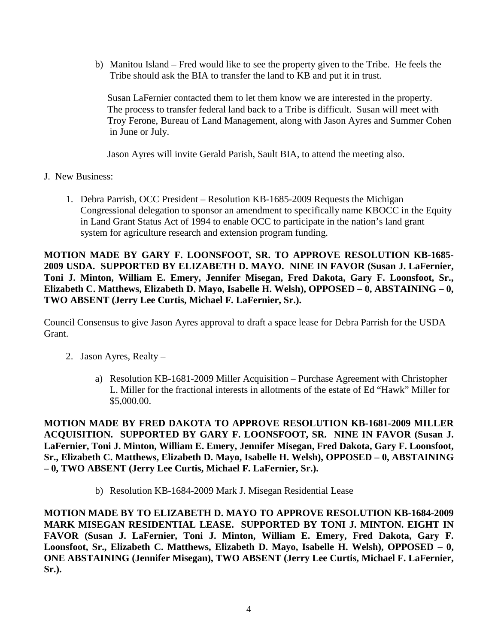b) Manitou Island – Fred would like to see the property given to the Tribe. He feels the Tribe should ask the BIA to transfer the land to KB and put it in trust.

 Susan LaFernier contacted them to let them know we are interested in the property. The process to transfer federal land back to a Tribe is difficult. Susan will meet with Troy Ferone, Bureau of Land Management, along with Jason Ayres and Summer Cohen in June or July.

Jason Ayres will invite Gerald Parish, Sault BIA, to attend the meeting also.

- J. New Business:
	- 1. Debra Parrish, OCC President Resolution KB-1685-2009 Requests the Michigan Congressional delegation to sponsor an amendment to specifically name KBOCC in the Equity in Land Grant Status Act of 1994 to enable OCC to participate in the nation's land grant system for agriculture research and extension program funding.

**MOTION MADE BY GARY F. LOONSFOOT, SR. TO APPROVE RESOLUTION KB-1685- 2009 USDA. SUPPORTED BY ELIZABETH D. MAYO. NINE IN FAVOR (Susan J. LaFernier, Toni J. Minton, William E. Emery, Jennifer Misegan, Fred Dakota, Gary F. Loonsfoot, Sr., Elizabeth C. Matthews, Elizabeth D. Mayo, Isabelle H. Welsh), OPPOSED – 0, ABSTAINING – 0, TWO ABSENT (Jerry Lee Curtis, Michael F. LaFernier, Sr.).**

Council Consensus to give Jason Ayres approval to draft a space lease for Debra Parrish for the USDA Grant.

- 2. Jason Ayres, Realty
	- a) Resolution KB-1681-2009 Miller Acquisition Purchase Agreement with Christopher L. Miller for the fractional interests in allotments of the estate of Ed "Hawk" Miller for \$5,000.00.

**MOTION MADE BY FRED DAKOTA TO APPROVE RESOLUTION KB-1681-2009 MILLER ACQUISITION. SUPPORTED BY GARY F. LOONSFOOT, SR. NINE IN FAVOR (Susan J. LaFernier, Toni J. Minton, William E. Emery, Jennifer Misegan, Fred Dakota, Gary F. Loonsfoot, Sr., Elizabeth C. Matthews, Elizabeth D. Mayo, Isabelle H. Welsh), OPPOSED – 0, ABSTAINING – 0, TWO ABSENT (Jerry Lee Curtis, Michael F. LaFernier, Sr.).**

b) Resolution KB-1684-2009 Mark J. Misegan Residential Lease

**MOTION MADE BY TO ELIZABETH D. MAYO TO APPROVE RESOLUTION KB-1684-2009 MARK MISEGAN RESIDENTIAL LEASE. SUPPORTED BY TONI J. MINTON. EIGHT IN FAVOR (Susan J. LaFernier, Toni J. Minton, William E. Emery, Fred Dakota, Gary F. Loonsfoot, Sr., Elizabeth C. Matthews, Elizabeth D. Mayo, Isabelle H. Welsh), OPPOSED – 0, ONE ABSTAINING (Jennifer Misegan), TWO ABSENT (Jerry Lee Curtis, Michael F. LaFernier, Sr.).**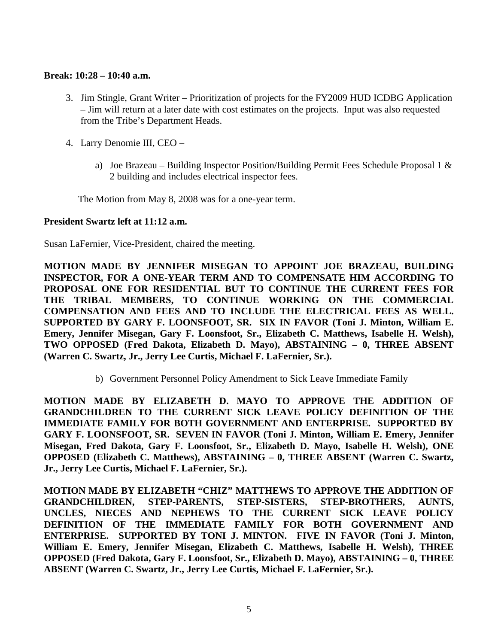### **Break: 10:28 – 10:40 a.m.**

- 3. Jim Stingle, Grant Writer Prioritization of projects for the FY2009 HUD ICDBG Application – Jim will return at a later date with cost estimates on the projects. Input was also requested from the Tribe's Department Heads.
- 4. Larry Denomie III, CEO
	- a) Joe Brazeau Building Inspector Position/Building Permit Fees Schedule Proposal 1 & 2 building and includes electrical inspector fees.

The Motion from May 8, 2008 was for a one-year term.

#### **President Swartz left at 11:12 a.m.**

Susan LaFernier, Vice-President, chaired the meeting.

**MOTION MADE BY JENNIFER MISEGAN TO APPOINT JOE BRAZEAU, BUILDING INSPECTOR, FOR A ONE-YEAR TERM AND TO COMPENSATE HIM ACCORDING TO PROPOSAL ONE FOR RESIDENTIAL BUT TO CONTINUE THE CURRENT FEES FOR THE TRIBAL MEMBERS, TO CONTINUE WORKING ON THE COMMERCIAL COMPENSATION AND FEES AND TO INCLUDE THE ELECTRICAL FEES AS WELL. SUPPORTED BY GARY F. LOONSFOOT, SR. SIX IN FAVOR (Toni J. Minton, William E. Emery, Jennifer Misegan, Gary F. Loonsfoot, Sr., Elizabeth C. Matthews, Isabelle H. Welsh), TWO OPPOSED (Fred Dakota, Elizabeth D. Mayo), ABSTAINING – 0, THREE ABSENT (Warren C. Swartz, Jr., Jerry Lee Curtis, Michael F. LaFernier, Sr.).**

b) Government Personnel Policy Amendment to Sick Leave Immediate Family

**MOTION MADE BY ELIZABETH D. MAYO TO APPROVE THE ADDITION OF GRANDCHILDREN TO THE CURRENT SICK LEAVE POLICY DEFINITION OF THE IMMEDIATE FAMILY FOR BOTH GOVERNMENT AND ENTERPRISE. SUPPORTED BY GARY F. LOONSFOOT, SR. SEVEN IN FAVOR (Toni J. Minton, William E. Emery, Jennifer Misegan, Fred Dakota, Gary F. Loonsfoot, Sr., Elizabeth D. Mayo, Isabelle H. Welsh), ONE OPPOSED (Elizabeth C. Matthews), ABSTAINING – 0, THREE ABSENT (Warren C. Swartz, Jr., Jerry Lee Curtis, Michael F. LaFernier, Sr.).**

**MOTION MADE BY ELIZABETH "CHIZ" MATTHEWS TO APPROVE THE ADDITION OF GRANDCHILDREN, STEP-PARENTS, STEP-SISTERS, STEP-BROTHERS, AUNTS, UNCLES, NIECES AND NEPHEWS TO THE CURRENT SICK LEAVE POLICY DEFINITION OF THE IMMEDIATE FAMILY FOR BOTH GOVERNMENT AND ENTERPRISE. SUPPORTED BY TONI J. MINTON. FIVE IN FAVOR (Toni J. Minton, William E. Emery, Jennifer Misegan, Elizabeth C. Matthews, Isabelle H. Welsh), THREE OPPOSED (Fred Dakota, Gary F. Loonsfoot, Sr., Elizabeth D. Mayo), ABSTAINING – 0, THREE ABSENT (Warren C. Swartz, Jr., Jerry Lee Curtis, Michael F. LaFernier, Sr.).**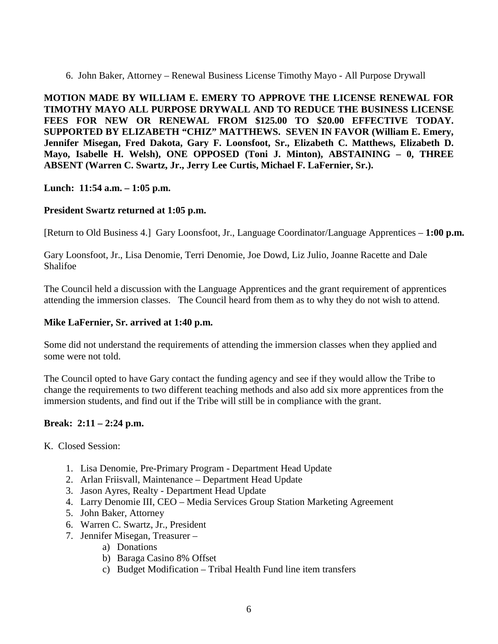6. John Baker, Attorney – Renewal Business License Timothy Mayo - All Purpose Drywall

**MOTION MADE BY WILLIAM E. EMERY TO APPROVE THE LICENSE RENEWAL FOR TIMOTHY MAYO ALL PURPOSE DRYWALL AND TO REDUCE THE BUSINESS LICENSE FEES FOR NEW OR RENEWAL FROM \$125.00 TO \$20.00 EFFECTIVE TODAY. SUPPORTED BY ELIZABETH "CHIZ" MATTHEWS. SEVEN IN FAVOR (William E. Emery, Jennifer Misegan, Fred Dakota, Gary F. Loonsfoot, Sr., Elizabeth C. Matthews, Elizabeth D. Mayo, Isabelle H. Welsh), ONE OPPOSED (Toni J. Minton), ABSTAINING – 0, THREE ABSENT (Warren C. Swartz, Jr., Jerry Lee Curtis, Michael F. LaFernier, Sr.).**

**Lunch: 11:54 a.m. – 1:05 p.m.**

# **President Swartz returned at 1:05 p.m.**

[Return to Old Business 4.] Gary Loonsfoot, Jr., Language Coordinator/Language Apprentices – **1:00 p.m.**

Gary Loonsfoot, Jr., Lisa Denomie, Terri Denomie, Joe Dowd, Liz Julio, Joanne Racette and Dale Shalifoe

The Council held a discussion with the Language Apprentices and the grant requirement of apprentices attending the immersion classes. The Council heard from them as to why they do not wish to attend.

#### **Mike LaFernier, Sr. arrived at 1:40 p.m.**

Some did not understand the requirements of attending the immersion classes when they applied and some were not told.

The Council opted to have Gary contact the funding agency and see if they would allow the Tribe to change the requirements to two different teaching methods and also add six more apprentices from the immersion students, and find out if the Tribe will still be in compliance with the grant.

# **Break: 2:11 – 2:24 p.m.**

K. Closed Session:

- 1. Lisa Denomie, Pre-Primary Program Department Head Update
- 2. Arlan Friisvall, Maintenance Department Head Update
- 3. Jason Ayres, Realty Department Head Update
- 4. Larry Denomie III, CEO Media Services Group Station Marketing Agreement
- 5. John Baker, Attorney
- 6. Warren C. Swartz, Jr., President
- 7. Jennifer Misegan, Treasurer
	- a) Donations
	- b) Baraga Casino 8% Offset
	- c) Budget Modification Tribal Health Fund line item transfers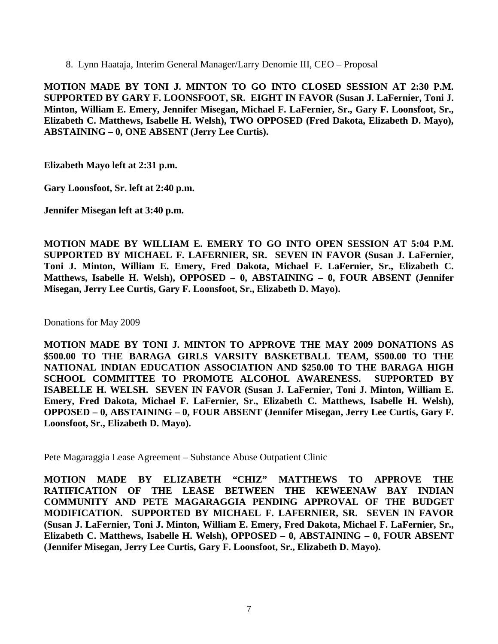8. Lynn Haataja, Interim General Manager/Larry Denomie III, CEO – Proposal

**MOTION MADE BY TONI J. MINTON TO GO INTO CLOSED SESSION AT 2:30 P.M. SUPPORTED BY GARY F. LOONSFOOT, SR. EIGHT IN FAVOR (Susan J. LaFernier, Toni J. Minton, William E. Emery, Jennifer Misegan, Michael F. LaFernier, Sr., Gary F. Loonsfoot, Sr., Elizabeth C. Matthews, Isabelle H. Welsh), TWO OPPOSED (Fred Dakota, Elizabeth D. Mayo), ABSTAINING – 0, ONE ABSENT (Jerry Lee Curtis).**

**Elizabeth Mayo left at 2:31 p.m.**

**Gary Loonsfoot, Sr. left at 2:40 p.m.**

**Jennifer Misegan left at 3:40 p.m.**

**MOTION MADE BY WILLIAM E. EMERY TO GO INTO OPEN SESSION AT 5:04 P.M. SUPPORTED BY MICHAEL F. LAFERNIER, SR. SEVEN IN FAVOR (Susan J. LaFernier, Toni J. Minton, William E. Emery, Fred Dakota, Michael F. LaFernier, Sr., Elizabeth C. Matthews, Isabelle H. Welsh), OPPOSED – 0, ABSTAINING – 0, FOUR ABSENT (Jennifer Misegan, Jerry Lee Curtis, Gary F. Loonsfoot, Sr., Elizabeth D. Mayo).**

Donations for May 2009

**MOTION MADE BY TONI J. MINTON TO APPROVE THE MAY 2009 DONATIONS AS \$500.00 TO THE BARAGA GIRLS VARSITY BASKETBALL TEAM, \$500.00 TO THE NATIONAL INDIAN EDUCATION ASSOCIATION AND \$250.00 TO THE BARAGA HIGH SCHOOL COMMITTEE TO PROMOTE ALCOHOL AWARENESS. SUPPORTED BY ISABELLE H. WELSH. SEVEN IN FAVOR (Susan J. LaFernier, Toni J. Minton, William E. Emery, Fred Dakota, Michael F. LaFernier, Sr., Elizabeth C. Matthews, Isabelle H. Welsh), OPPOSED – 0, ABSTAINING – 0, FOUR ABSENT (Jennifer Misegan, Jerry Lee Curtis, Gary F. Loonsfoot, Sr., Elizabeth D. Mayo).**

Pete Magaraggia Lease Agreement – Substance Abuse Outpatient Clinic

**MOTION MADE BY ELIZABETH "CHIZ" MATTHEWS TO APPROVE THE RATIFICATION OF THE LEASE BETWEEN THE KEWEENAW BAY INDIAN COMMUNITY AND PETE MAGARAGGIA PENDING APPROVAL OF THE BUDGET MODIFICATION. SUPPORTED BY MICHAEL F. LAFERNIER, SR. SEVEN IN FAVOR (Susan J. LaFernier, Toni J. Minton, William E. Emery, Fred Dakota, Michael F. LaFernier, Sr., Elizabeth C. Matthews, Isabelle H. Welsh), OPPOSED – 0, ABSTAINING – 0, FOUR ABSENT (Jennifer Misegan, Jerry Lee Curtis, Gary F. Loonsfoot, Sr., Elizabeth D. Mayo).**